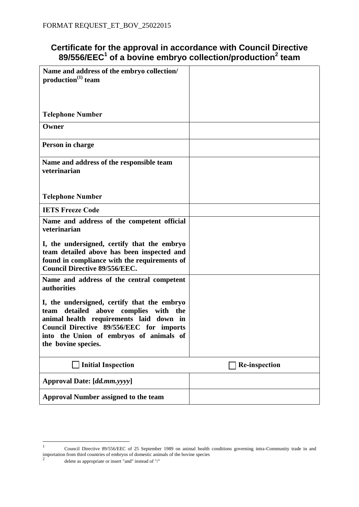# **Certificate for the approval in accordance with Council Directive 89/556/EEC<sup>1</sup> of a bovine embryo collection/production<sup>2</sup> team**

| Name and address of the embryo collection/<br>production <sup>(1)</sup> team                                                                                                                                                                        |                      |
|-----------------------------------------------------------------------------------------------------------------------------------------------------------------------------------------------------------------------------------------------------|----------------------|
|                                                                                                                                                                                                                                                     |                      |
| <b>Telephone Number</b>                                                                                                                                                                                                                             |                      |
| Owner                                                                                                                                                                                                                                               |                      |
| Person in charge                                                                                                                                                                                                                                    |                      |
| Name and address of the responsible team<br>veterinarian                                                                                                                                                                                            |                      |
| <b>Telephone Number</b>                                                                                                                                                                                                                             |                      |
| <b>IETS Freeze Code</b>                                                                                                                                                                                                                             |                      |
| Name and address of the competent official<br>veterinarian                                                                                                                                                                                          |                      |
| I, the undersigned, certify that the embryo<br>team detailed above has been inspected and<br>found in compliance with the requirements of<br><b>Council Directive 89/556/EEC.</b>                                                                   |                      |
| Name and address of the central competent<br>authorities                                                                                                                                                                                            |                      |
| I, the undersigned, certify that the embryo<br>detailed above complies with<br>team<br>the<br>animal health requirements laid down in<br>Council Directive 89/556/EEC for imports<br>into the Union of embryos of animals of<br>the bovine species. |                      |
| <b>Initial Inspection</b>                                                                                                                                                                                                                           | <b>Re-inspection</b> |
| Approval Date: [dd.mm.yyyy]                                                                                                                                                                                                                         |                      |
| <b>Approval Number assigned to the team</b>                                                                                                                                                                                                         |                      |

<sup>1</sup> Council Directive 89/556/EEC of 25 September 1989 on animal health conditions governing intra-Community trade in and importation from third countries of embryos of domestic animals of the bovine species<br>  $2 \leftarrow 1$ delete as appropriate or insert "and" instead of "/"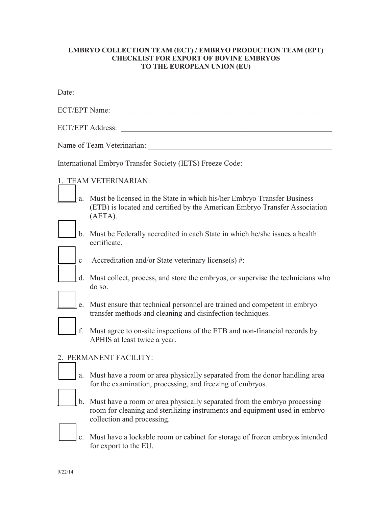#### **EMBRYO COLLECTION TEAM (ECT) / EMBRYO PRODUCTION TEAM (EPT) CHECKLIST FOR EXPORT OF BOVINE EMBRYOS TO THE EUROPEAN UNION (EU)**

|                                                           | Date:                                                                                                                                                                                |  |
|-----------------------------------------------------------|--------------------------------------------------------------------------------------------------------------------------------------------------------------------------------------|--|
| <b>ECT/EPT Name:</b>                                      |                                                                                                                                                                                      |  |
| ECT/EPT Address:                                          |                                                                                                                                                                                      |  |
| Name of Team Veterinarian:                                |                                                                                                                                                                                      |  |
| International Embryo Transfer Society (IETS) Freeze Code: |                                                                                                                                                                                      |  |
|                                                           | 1. TEAM VETERINARIAN:                                                                                                                                                                |  |
|                                                           | a. Must be licensed in the State in which his/her Embryo Transfer Business<br>(ETB) is located and certified by the American Embryo Transfer Association<br>(AETA).                  |  |
|                                                           | b. Must be Federally accredited in each State in which he/she issues a health<br>certificate.                                                                                        |  |
| $\mathbf{C}$                                              | Accreditation and/or State veterinary license(s) #:                                                                                                                                  |  |
|                                                           | d. Must collect, process, and store the embryos, or supervise the technicians who<br>do so.                                                                                          |  |
| e.                                                        | Must ensure that technical personnel are trained and competent in embryo<br>transfer methods and cleaning and disinfection techniques.                                               |  |
| f.                                                        | Must agree to on-site inspections of the ETB and non-financial records by<br>APHIS at least twice a year.                                                                            |  |
| 2. PERMANENT FACILITY:                                    |                                                                                                                                                                                      |  |
|                                                           | Must have a room or area physically separated from the donor handling area<br>for the examination, processing, and freezing of embryos.                                              |  |
| b.                                                        | Must have a room or area physically separated from the embryo processing<br>room for cleaning and sterilizing instruments and equipment used in embryo<br>collection and processing. |  |
|                                                           | Must have a lockable room or cabinet for storage of frozen embryos intended<br>for export to the EU.                                                                                 |  |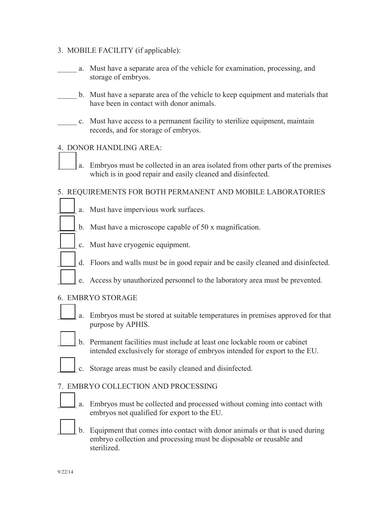## 3. MOBILE FACILITY (if applicable):

- \_\_\_\_\_ a. Must have a separate area of the vehicle for examination, processing, and storage of embryos.
- b. Must have a separate area of the vehicle to keep equipment and materials that have been in contact with donor animals.
- \_\_\_\_\_ c. Must have access to a permanent facility to sterilize equipment, maintain records, and for storage of embryos.

## 4. DONOR HANDLING AREA:

a. Embryos must be collected in an area isolated from other parts of the premises which is in good repair and easily cleaned and disinfected.

## 5. REQUIREMENTS FOR BOTH PERMANENT AND MOBILE LABORATORIES

- a. Must have impervious work surfaces.
- b. Must have a microscope capable of 50 x magnification.
- c. Must have cryogenic equipment.
- d. Floors and walls must be in good repair and be easily cleaned and disinfected.
- e. Access by unauthorized personnel to the laboratory area must be prevented.

### 6. EMBRYO STORAGE

- - a. Embryos must be stored at suitable temperatures in premises approved for that purpose by APHIS.
	- b. Permanent facilities must include at least one lockable room or cabinet intended exclusively for storage of embryos intended for export to the EU.
- 
- c. Storage areas must be easily cleaned and disinfected.

### 7. EMBRYO COLLECTION AND PROCESSING

- a. Embryos must be collected and processed without coming into contact with embryos not qualified for export to the EU.
- \_\_\_\_\_ b. Equipment that comes into contact with donor animals or that is used during embryo collection and processing must be disposable or reusable and sterilized.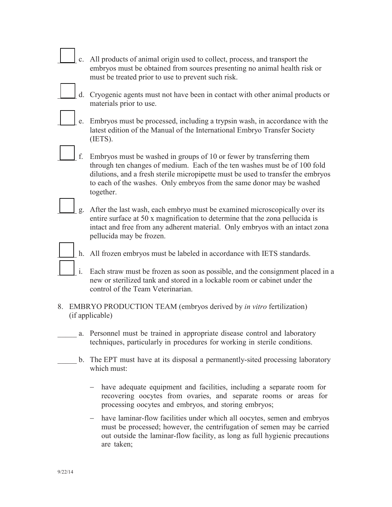|                                                                                             |  | $c_{\cdot}$ | All products of animal origin used to collect, process, and transport the<br>embryos must be obtained from sources presenting no animal health risk or<br>must be treated prior to use to prevent such risk.                                                                                                                |
|---------------------------------------------------------------------------------------------|--|-------------|-----------------------------------------------------------------------------------------------------------------------------------------------------------------------------------------------------------------------------------------------------------------------------------------------------------------------------|
|                                                                                             |  |             | d. Cryogenic agents must not have been in contact with other animal products or<br>materials prior to use.                                                                                                                                                                                                                  |
|                                                                                             |  | e.          | Embryos must be processed, including a trypsin wash, in accordance with the<br>latest edition of the Manual of the International Embryo Transfer Society<br>(IETS).                                                                                                                                                         |
|                                                                                             |  | f.          | Embryos must be washed in groups of 10 or fewer by transferring them<br>through ten changes of medium. Each of the ten washes must be of 100 fold<br>dilutions, and a fresh sterile micropipette must be used to transfer the embryos<br>to each of the washes. Only embryos from the same donor may be washed<br>together. |
|                                                                                             |  | g.          | After the last wash, each embryo must be examined microscopically over its<br>entire surface at 50 x magnification to determine that the zona pellucida is<br>intact and free from any adherent material. Only embryos with an intact zona<br>pellucida may be frozen.                                                      |
|                                                                                             |  | h.          | All frozen embryos must be labeled in accordance with IETS standards.                                                                                                                                                                                                                                                       |
|                                                                                             |  | i.          | Each straw must be frozen as soon as possible, and the consignment placed in a<br>new or sterilized tank and stored in a lockable room or cabinet under the<br>control of the Team Veterinarian.                                                                                                                            |
| 8.<br>EMBRYO PRODUCTION TEAM (embryos derived by in vitro fertilization)<br>(if applicable) |  |             |                                                                                                                                                                                                                                                                                                                             |
|                                                                                             |  | a.          | Personnel must be trained in appropriate disease control and laboratory<br>techniques, particularly in procedures for working in sterile conditions.                                                                                                                                                                        |
|                                                                                             |  | b.          | The EPT must have at its disposal a permanently-sited processing laboratory<br>which must:                                                                                                                                                                                                                                  |

- have adequate equipment and facilities, including a separate room for recovering oocytes from ovaries, and separate rooms or areas for processing oocytes and embryos, and storing embryos;

- have laminar-flow facilities under which all oocytes, semen and embryos must be processed; however, the centrifugation of semen may be carried out outside the laminar-flow facility, as long as full hygienic precautions are taken;